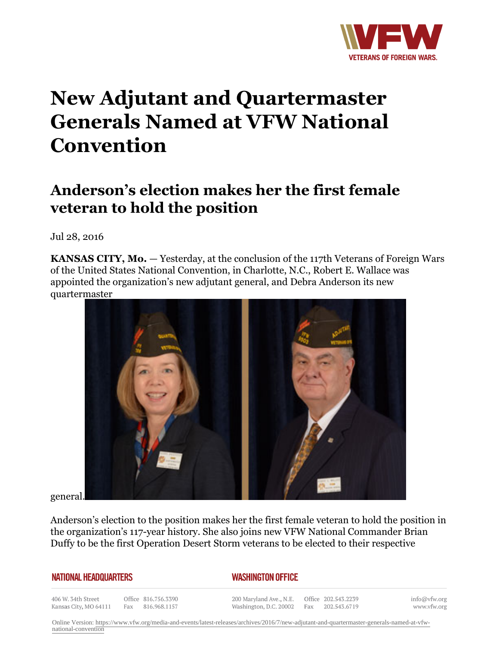

## **New Adjutant and Quartermaster Generals Named at VFW National Convention**

## **Anderson's election makes her the first female veteran to hold the position**

Jul 28, 2016

**KANSAS CITY, Mo.** — Yesterday, at the conclusion of the 117th Veterans of Foreign Wars of the United States National Convention, in Charlotte, N.C., Robert E. Wallace was appointed the organization's new adjutant general, and Debra Anderson its new quartermaster



general.

Anderson's election to the position makes her the first female veteran to hold the position in the organization's 117-year history. She also joins new VFW National Commander Brian Duffy to be the first Operation Desert Storm veterans to be elected to their respective

## **NATIONAL HEADQUARTERS**

## *WASHINGTON OFFICE*

406 W. 34th Street Kansas City, MO 64111

Office 816.756.3390 Fax 816.968.1157

200 Maryland Ave., N.E. Washington, D.C. 20002

Office 202.543.2239 Fax 202.543.6719

info@vfw.org www.vfw.org

Online Version: [https://www.vfw.org/media-and-events/latest-releases/archives/2016/7/new-adjutant-and-quartermaster-generals-named-at-vfw](https://www.vfw.org/media-and-events/latest-releases/archives/2016/7/new-adjutant-and-quartermaster-generals-named-at-vfw-national-convention)[national-convention](https://www.vfw.org/media-and-events/latest-releases/archives/2016/7/new-adjutant-and-quartermaster-generals-named-at-vfw-national-convention)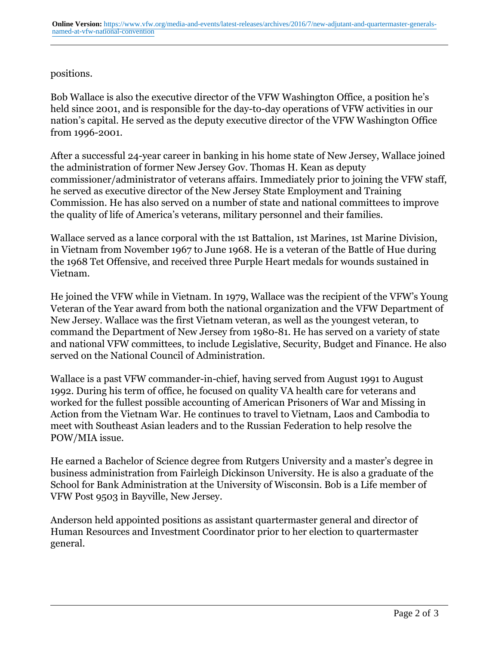positions.

Bob Wallace is also the executive director of the VFW Washington Office, a position he's held since 2001, and is responsible for the day-to-day operations of VFW activities in our nation's capital. He served as the deputy executive director of the VFW Washington Office from 1996-2001.

After a successful 24-year career in banking in his home state of New Jersey, Wallace joined the administration of former New Jersey Gov. Thomas H. Kean as deputy commissioner/administrator of veterans affairs. Immediately prior to joining the VFW staff, he served as executive director of the New Jersey State Employment and Training Commission. He has also served on a number of state and national committees to improve the quality of life of America's veterans, military personnel and their families.

Wallace served as a lance corporal with the 1st Battalion, 1st Marines, 1st Marine Division, in Vietnam from November 1967 to June 1968. He is a veteran of the Battle of Hue during the 1968 Tet Offensive, and received three Purple Heart medals for wounds sustained in Vietnam.

He joined the VFW while in Vietnam. In 1979, Wallace was the recipient of the VFW's Young Veteran of the Year award from both the national organization and the VFW Department of New Jersey. Wallace was the first Vietnam veteran, as well as the youngest veteran, to command the Department of New Jersey from 1980-81. He has served on a variety of state and national VFW committees, to include Legislative, Security, Budget and Finance. He also served on the National Council of Administration.

Wallace is a past VFW commander-in-chief, having served from August 1991 to August 1992. During his term of office, he focused on quality VA health care for veterans and worked for the fullest possible accounting of American Prisoners of War and Missing in Action from the Vietnam War. He continues to travel to Vietnam, Laos and Cambodia to meet with Southeast Asian leaders and to the Russian Federation to help resolve the POW/MIA issue.

He earned a Bachelor of Science degree from Rutgers University and a master's degree in business administration from Fairleigh Dickinson University. He is also a graduate of the School for Bank Administration at the University of Wisconsin. Bob is a Life member of VFW Post 9503 in Bayville, New Jersey.

Anderson held appointed positions as assistant quartermaster general and director of Human Resources and Investment Coordinator prior to her election to quartermaster general.